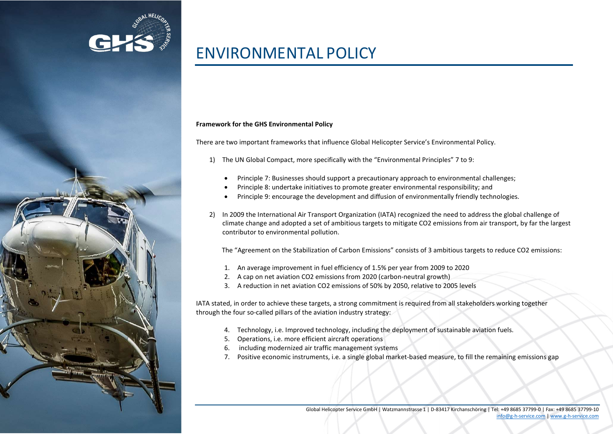

# ENVIRONMENTAL POLICY

## Framework for the GHS Environmental Policy

There are two important frameworks that influence Global Helicopter Service's Environmental Policy.

- 1) The UN Global Compact, more specifically with the "Environmental Principles" 7 to 9:
	- Principle 7: Businesses should support a precautionary approach to environmental challenges;
	- Principle 8: undertake initiatives to promote greater environmental responsibility; and
	- Principle 9: encourage the development and diffusion of environmentally friendly technologies.
- 2) In 2009 the International Air Transport Organization (IATA) recognized the need to address the global challenge of climate change and adopted a set of ambitious targets to mitigate CO2 emissions from air transport, by far the largest contributor to environmental pollution.

The "Agreement on the Stabilization of Carbon Emissions" consists of 3 ambitious targets to reduce CO2 emissions:

- 1. An average improvement in fuel efficiency of 1.5% per year from 2009 to 2020
- 2. A cap on net aviation CO2 emissions from 2020 (carbon-neutral growth)
- 3. A reduction in net aviation CO2 emissions of 50% by 2050, relative to 2005 levels

IATA stated, in order to achieve these targets, a strong commitment is required from all stakeholders working together through the four so-called pillars of the aviation industry strategy:

- 4. Technology, i.e. Improved technology, including the deployment of sustainable aviation fuels.
- 5. Operations, i.e. more efficient aircraft operations
- 6. including modernized air traffic management systems
- 7. Positive economic instruments, i.e. a single global market-based measure, to fill the remaining emissions gap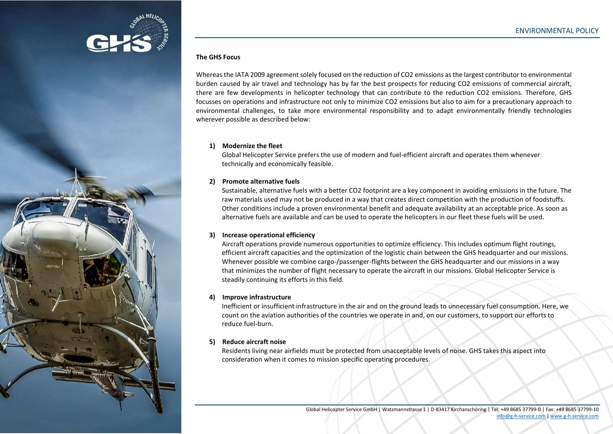

## The GHS Focus

Whereas the IATA 2009 agreement solely focused on the reduction of CO2 emissions as the largest contributor to environmental burden caused by air travel and technology has by far the best prospects for reducing CO2 emissions of commercial aircraft, there are few developments in helicopter technology that can contribute to the reduction CO2 emissions. Therefore, GHS focusses on operations and infrastructure not only to minimize CO2 emissions but also to aim for a precautionary approach to environmental challenges, to take more environmental responsibility and to adapt environmentally friendly technologies wherever possible as described below:

## 1) Modernize the fleet

Global Helicopter Service prefers the use of modern and fuel-efficient aircraft and operates them whenever technically and economically feasible.

#### 2) Promote alternative fuels

Sustainable, alternative fuels with a better CO2 footprint are a key component in avoiding emissions in the future. The raw materials used may not be produced in a way that creates direct competition with the production of foodstuffs. Other conditions include a proven environmental benefit and adequate availability at an acceptable price. As soon as alternative fuels are available and can be used to operate the helicopters in our fleet these fuels will be used.

## 3) Increase operational efficiency

Aircraft operations provide numerous opportunities to optimize efficiency. This includes optimum flight routings, efficient aircraft capacities and the optimization of the logistic chain between the GHS headquarter and our missions. Whenever possible we combine cargo-/passenger-flights between the GHS headquarter and our missions in a way that minimizes the number of flight necessary to operate the aircraft in our missions. Global Helicopter Service is steadily continuing its efforts in this field.

# 4) Improve infrastructure

Inefficient or insufficient infrastructure in the air and on the ground leads to unnecessary fuel consumption. Here, we count on the aviation authorities of the countries we operate in and, on our customers, to support our efforts to reduce fuel-burn.

## 5) Reduce aircraft noise

Residents living near airfields must be protected from unacceptable levels of noise. GHS takes this aspect into consideration when it comes to mission specific operating procedures.